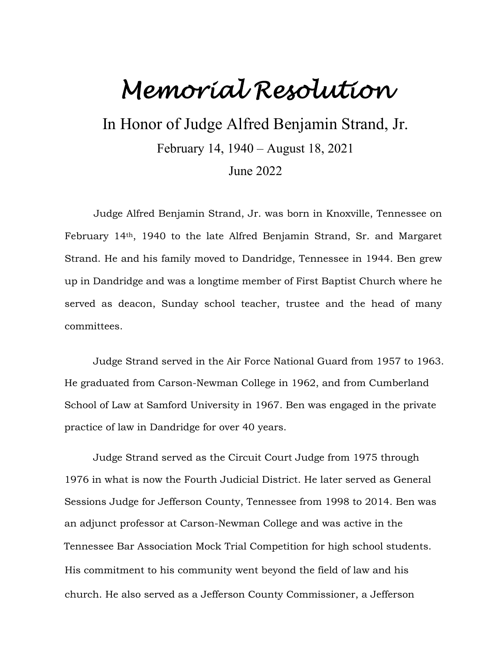## *Memorial Resolution*

In Honor of Judge Alfred Benjamin Strand, Jr.

February 14, 1940 – August 18, 2021

June 2022

Judge Alfred Benjamin Strand, Jr. was born in Knoxville, Tennessee on February 14th, 1940 to the late Alfred Benjamin Strand, Sr. and Margaret Strand. He and his family moved to Dandridge, Tennessee in 1944. Ben grew up in Dandridge and was a longtime member of First Baptist Church where he served as deacon, Sunday school teacher, trustee and the head of many committees.

Judge Strand served in the Air Force National Guard from 1957 to 1963. He graduated from Carson-Newman College in 1962, and from Cumberland School of Law at Samford University in 1967. Ben was engaged in the private practice of law in Dandridge for over 40 years.

Judge Strand served as the Circuit Court Judge from 1975 through 1976 in what is now the Fourth Judicial District. He later served as General Sessions Judge for Jefferson County, Tennessee from 1998 to 2014. Ben was an adjunct professor at Carson-Newman College and was active in the Tennessee Bar Association Mock Trial Competition for high school students. His commitment to his community went beyond the field of law and his church. He also served as a Jefferson County Commissioner, a Jefferson